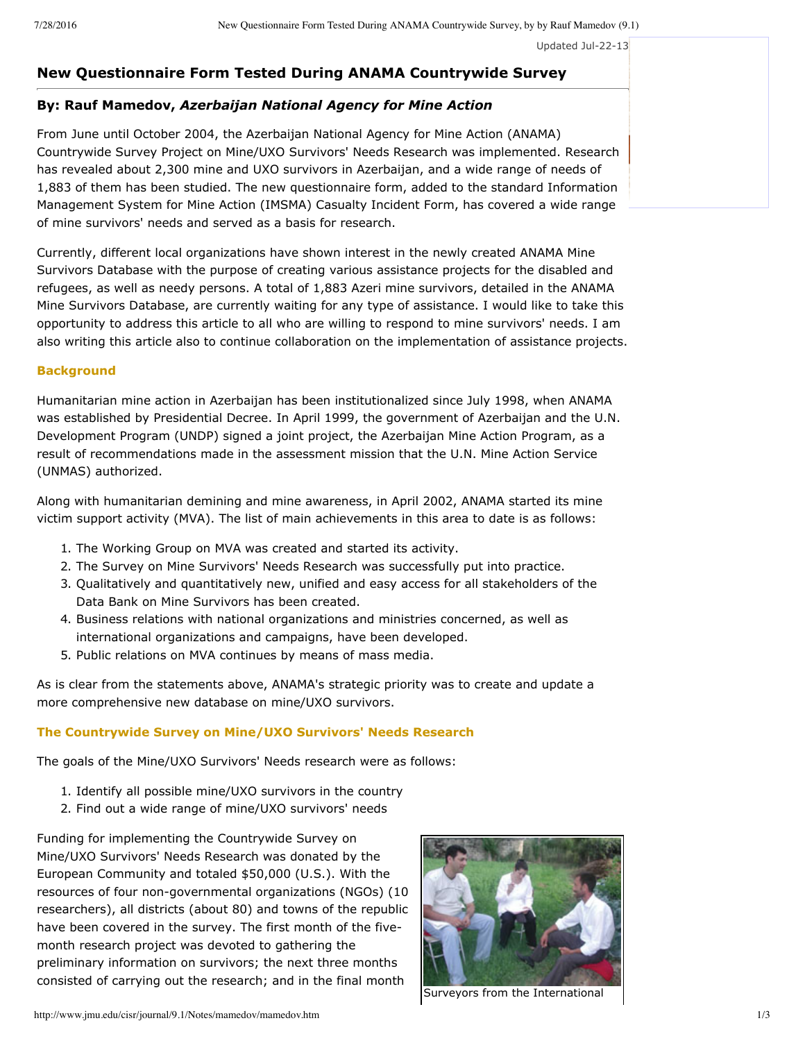Updated Jul-22-13

# **New Questionnaire Form Tested During ANAMA Countrywide Survey**

# **By: Rauf Mamedov,** *Azerbaijan National Agency for Mine Action*

From June until October 2004, the Azerbaijan National Agency for Mine Action (ANAMA) Countrywide Survey Project on Mine/UXO Survivors' Needs Research was implemented. Research has revealed about 2,300 mine and UXO survivors in Azerbaijan, and a wide range of needs of 1,883 of them has been studied. The new questionnaire form, added to the standard Information Management System for Mine Action (IMSMA) Casualty Incident Form, has covered a wide range of mine survivors' needs and served as a basis for research.

Currently, different local organizations have shown interest in the newly created ANAMA Mine Survivors Database with the purpose of creating various assistance projects for the disabled and refugees, as well as needy persons. A total of 1,883 Azeri mine survivors, detailed in the ANAMA Mine Survivors Database, are currently waiting for any type of assistance. I would like to take this opportunity to address this article to all who are willing to respond to mine survivors' needs. I am also writing this article also to continue collaboration on the implementation of assistance projects.

#### **Background**

Humanitarian mine action in Azerbaijan has been institutionalized since July 1998, when ANAMA was established by Presidential Decree. In April 1999, the government of Azerbaijan and the U.N. Development Program (UNDP) signed a joint project, the Azerbaijan Mine Action Program, as a result of recommendations made in the assessment mission that the U.N. Mine Action Service (UNMAS) authorized.

Along with humanitarian demining and mine awareness, in April 2002, ANAMA started its mine victim support activity (MVA). The list of main achievements in this area to date is as follows:

- 1. The Working Group on MVA was created and started its activity.
- 2. The Survey on Mine Survivors' Needs Research was successfully put into practice.
- 3. Qualitatively and quantitatively new, unified and easy access for all stakeholders of the Data Bank on Mine Survivors has been created.
- 4. Business relations with national organizations and ministries concerned, as well as international organizations and campaigns, have been developed.
- 5. Public relations on MVA continues by means of mass media.

As is clear from the statements above, ANAMA's strategic priority was to create and update a more comprehensive new database on mine/UXO survivors.

### **The Countrywide Survey on Mine/UXO Survivors' Needs Research**

The goals of the Mine/UXO Survivors' Needs research were as follows:

- 1. Identify all possible mine/UXO survivors in the country
- 2. Find out a wide range of mine/UXO survivors' needs

Funding for implementing the Countrywide Survey on Mine/UXO Survivors' Needs Research was donated by the European Community and totaled \$50,000 (U.S.). With the resources of four non-governmental organizations (NGOs) (10 researchers), all districts (about 80) and towns of the republic have been covered in the survey. The first month of the fivemonth research project was devoted to gathering the preliminary information on survivors; the next three months consisted of carrying out the research; and in the final month



Surveyors from the International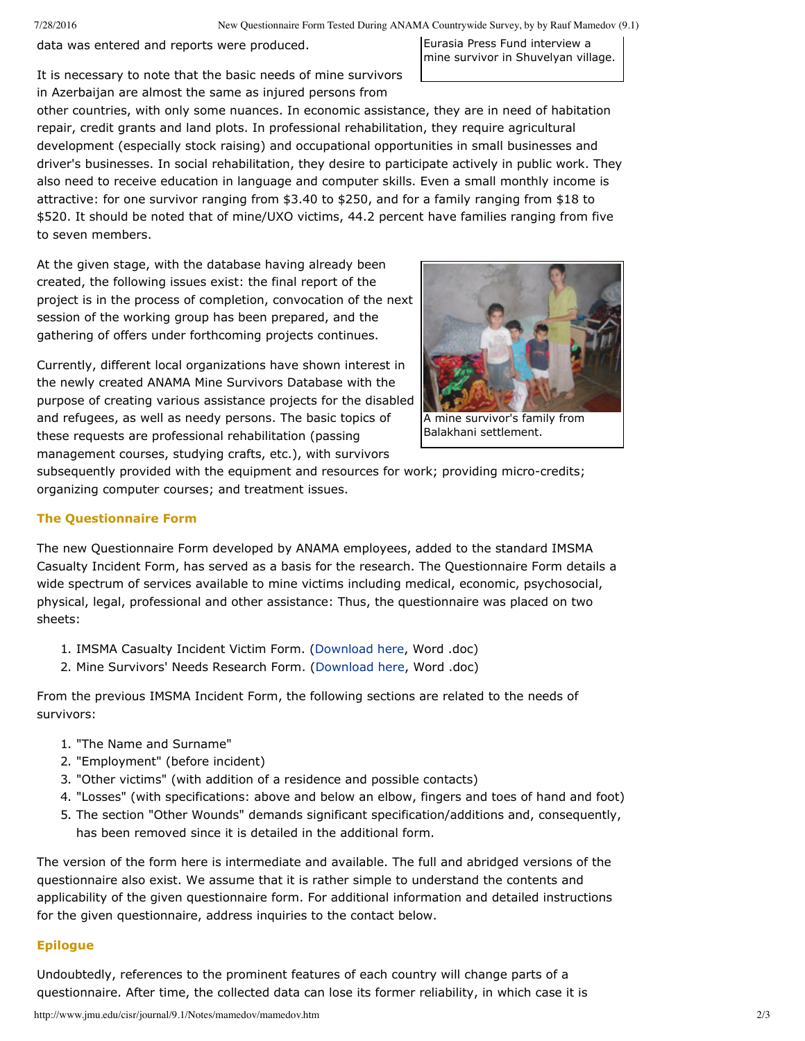7/28/2016 New Questionnaire Form Tested During ANAMA Countrywide Survey, by by Rauf Mamedov (9.1)

data was entered and reports were produced.

Eurasia Press Fund interview a mine survivor in Shuvelyan village.

It is necessary to note that the basic needs of mine survivors in Azerbaijan are almost the same as injured persons from

other countries, with only some nuances. In economic assistance, they are in need of habitation repair, credit grants and land plots. In professional rehabilitation, they require agricultural development (especially stock raising) and occupational opportunities in small businesses and driver's businesses. In social rehabilitation, they desire to participate actively in public work. They also need to receive education in language and computer skills. Even a small monthly income is attractive: for one survivor ranging from \$3.40 to \$250, and for a family ranging from \$18 to \$520. It should be noted that of mine/UXO victims, 44.2 percent have families ranging from five to seven members.

At the given stage, with the database having already been created, the following issues exist: the final report of the project is in the process of completion, convocation of the next session of the working group has been prepared, and the gathering of offers under forthcoming projects continues.

Currently, different local organizations have shown interest in the newly created ANAMA Mine Survivors Database with the purpose of creating various assistance projects for the disabled and refugees, as well as needy persons. The basic topics of these requests are professional rehabilitation (passing management courses, studying crafts, etc.), with survivors



A mine survivor's family from Balakhani settlement.

subsequently provided with the equipment and resources for work; providing micro-credits; organizing computer courses; and treatment issues.

# **The Questionnaire Form**

The new Questionnaire Form developed by ANAMA employees, added to the standard IMSMA Casualty Incident Form, has served as a basis for the research. The Questionnaire Form details a wide spectrum of services available to mine victims including medical, economic, psychosocial, physical, legal, professional and other assistance: Thus, the questionnaire was placed on two sheets:

- 1. IMSMA Casualty Incident Victim Form. ([Download](http://www.jmu.edu/cisr/journal/9.1/Notes/mamedov/Q1-CasualtyIncident%20en.doc) here, Word .doc)
- 2. Mine Survivors' Needs Research Form. ([Download](http://www.jmu.edu/cisr/journal/9.1/Notes/mamedov/Q2-Mine%20Survivors%20Needs) here, Word .doc)

From the previous IMSMA Incident Form, the following sections are related to the needs of survivors:

- 1. "The Name and Surname"
- 2. "Employment" (before incident)
- 3. "Other victims" (with addition of a residence and possible contacts)
- 4. "Losses" (with specifications: above and below an elbow, fingers and toes of hand and foot)
- 5. The section "Other Wounds" demands significant specification/additions and, consequently, has been removed since it is detailed in the additional form.

The version of the form here is intermediate and available. The full and abridged versions of the questionnaire also exist. We assume that it is rather simple to understand the contents and applicability of the given questionnaire form. For additional information and detailed instructions for the given questionnaire, address inquiries to the contact below.

### **Epilogue**

Undoubtedly, references to the prominent features of each country will change parts of a questionnaire. After time, the collected data can lose its former reliability, in which case it is